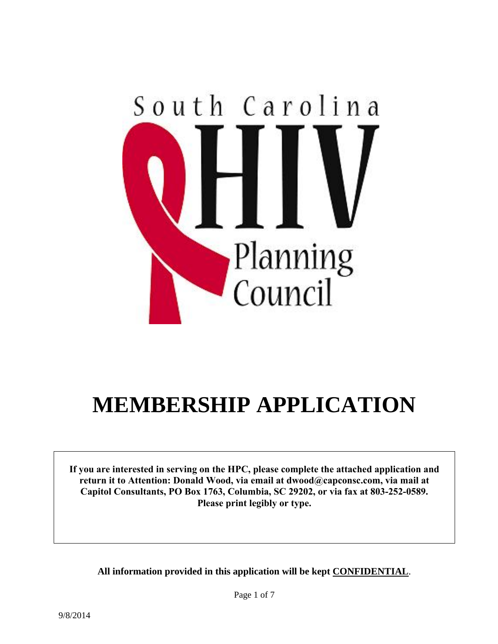

# **MEMBERSHIP APPLICATION**

**If you are interested in serving on the HPC, please complete the attached application and return it to Attention: Donald Wood, via email at dwood@capconsc.com, via mail at Capitol Consultants, PO Box 1763, Columbia, SC 29202, or via fax at 803-252-0589. Please print legibly or type.**

**All information provided in this application will be kept CONFIDENTIAL**.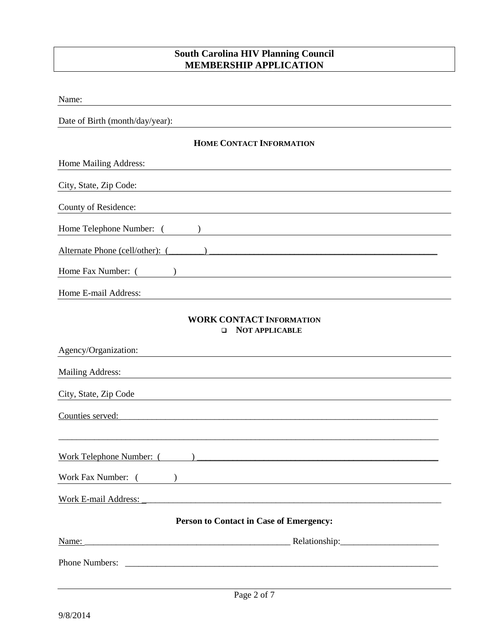# **South Carolina HIV Planning Council MEMBERSHIP APPLICATION**

| Name:                                                                                                                                            |  |  |  |
|--------------------------------------------------------------------------------------------------------------------------------------------------|--|--|--|
| Date of Birth (month/day/year):                                                                                                                  |  |  |  |
| <b>HOME CONTACT INFORMATION</b>                                                                                                                  |  |  |  |
| Home Mailing Address:                                                                                                                            |  |  |  |
| City, State, Zip Code:                                                                                                                           |  |  |  |
| County of Residence:                                                                                                                             |  |  |  |
| Home Telephone Number: (<br>$\lambda$<br><u> 1980 - Jan Samuel Barbara, martin di</u>                                                            |  |  |  |
|                                                                                                                                                  |  |  |  |
| Home Fax Number: (                                                                                                                               |  |  |  |
| Home E-mail Address:                                                                                                                             |  |  |  |
| <b>WORK CONTACT INFORMATION</b><br><b>NOT APPLICABLE</b><br>□<br>Agency/Organization:                                                            |  |  |  |
| <b>Mailing Address:</b>                                                                                                                          |  |  |  |
| City, State, Zip Code                                                                                                                            |  |  |  |
| Counties served:                                                                                                                                 |  |  |  |
| Work Telephone Number: (<br><u> 1989 - Johann Harry Barn, mars ar yw y cynnwys y cynnwys y cynnwys y cynnwys y cynnwys y cynnwys y cynnwys y</u> |  |  |  |
| Work Fax Number: (<br>$\overline{\phantom{a}}$ ) and the contract of the contract of $\overline{\phantom{a}}$                                    |  |  |  |
| Work E-mail Address:                                                                                                                             |  |  |  |
| <b>Person to Contact in Case of Emergency:</b>                                                                                                   |  |  |  |
| Name:                                                                                                                                            |  |  |  |
|                                                                                                                                                  |  |  |  |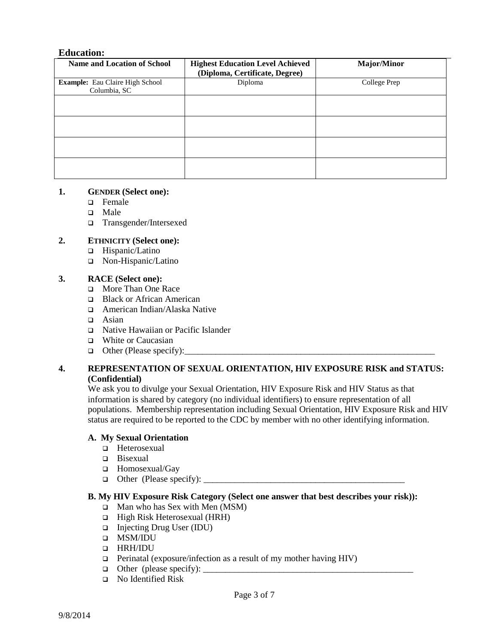#### **Education:**

| <b>Name and Location of School</b>                     | <b>Highest Education Level Achieved</b><br>(Diploma, Certificate, Degree) | <b>Major/Minor</b> |
|--------------------------------------------------------|---------------------------------------------------------------------------|--------------------|
| <b>Example:</b> Eau Claire High School<br>Columbia, SC | Diploma                                                                   | College Prep       |
|                                                        |                                                                           |                    |
|                                                        |                                                                           |                    |
|                                                        |                                                                           |                    |
|                                                        |                                                                           |                    |

#### **1. GENDER (Select one):**

- **D** Female
- Male
- Transgender/Intersexed

#### **2. ETHNICITY (Select one):**

- □ Hispanic/Latino
- Non-Hispanic/Latino

#### **3. RACE (Select one):**

- **D** More Than One Race
- □ Black or African American
- American Indian/Alaska Native
- $\Box$  Asian
- Native Hawaiian or Pacific Islander
- White or Caucasian
- $\Box$  Other (Please specify): $\Box$

#### **4. REPRESENTATION OF SEXUAL ORIENTATION, HIV EXPOSURE RISK and STATUS: (Confidential)**

We ask you to divulge your Sexual Orientation, HIV Exposure Risk and HIV Status as that information is shared by category (no individual identifiers) to ensure representation of all populations. Membership representation including Sexual Orientation, HIV Exposure Risk and HIV status are required to be reported to the CDC by member with no other identifying information.

#### **A. My Sexual Orientation**

- Heterosexual
- □ Bisexual
- Homosexual/Gay
- Other (Please specify): \_\_\_\_\_\_\_\_\_\_\_\_\_\_\_\_\_\_\_\_\_\_\_\_\_\_\_\_\_\_\_\_\_\_\_\_\_\_\_\_\_\_\_\_\_

#### **B. My HIV Exposure Risk Category (Select one answer that best describes your risk)):**

- $\Box$  Man who has Sex with Men (MSM)
- $\Box$  High Risk Heterosexual (HRH)
- □ Injecting Drug User (IDU)
- MSM/IDU
- **D** HRH/IDU
- $\Box$  Perinatal (exposure/infection as a result of my mother having HIV)
- $\Box$  Other (please specify):
- No Identified Risk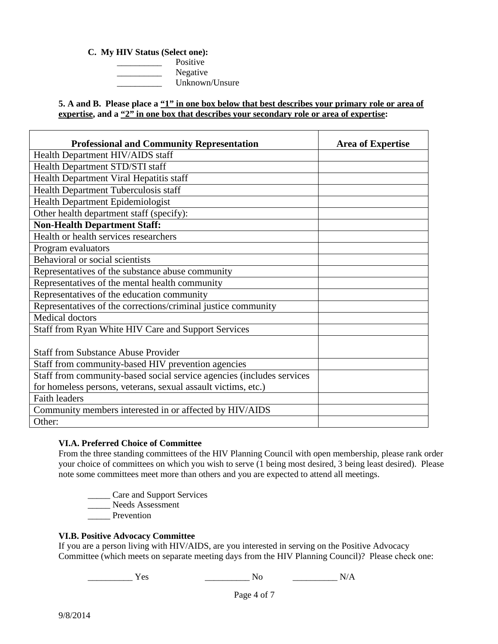#### **C. My HIV Status (Select one):**

\_\_\_\_\_\_\_\_\_\_ Positive Negative \_\_\_\_\_\_\_\_\_\_ Unknown/Unsure

**5. A and B. Please place a "1" in one box below that best describes your primary role or area of** expertise, and a "2" in one box that describes your secondary role or area of expertise:

| <b>Professional and Community Representation</b>                      | <b>Area of Expertise</b> |
|-----------------------------------------------------------------------|--------------------------|
| Health Department HIV/AIDS staff                                      |                          |
| Health Department STD/STI staff                                       |                          |
| Health Department Viral Hepatitis staff                               |                          |
| Health Department Tuberculosis staff                                  |                          |
| Health Department Epidemiologist                                      |                          |
| Other health department staff (specify):                              |                          |
| <b>Non-Health Department Staff:</b>                                   |                          |
| Health or health services researchers                                 |                          |
| Program evaluators                                                    |                          |
| Behavioral or social scientists                                       |                          |
| Representatives of the substance abuse community                      |                          |
| Representatives of the mental health community                        |                          |
| Representatives of the education community                            |                          |
| Representatives of the corrections/criminal justice community         |                          |
| <b>Medical doctors</b>                                                |                          |
| Staff from Ryan White HIV Care and Support Services                   |                          |
| <b>Staff from Substance Abuse Provider</b>                            |                          |
| Staff from community-based HIV prevention agencies                    |                          |
| Staff from community-based social service agencies (includes services |                          |
| for homeless persons, veterans, sexual assault victims, etc.)         |                          |
| <b>Faith leaders</b>                                                  |                          |
| Community members interested in or affected by HIV/AIDS               |                          |
| Other:                                                                |                          |

## **VI.A. Preferred Choice of Committee**

From the three standing committees of the HIV Planning Council with open membership, please rank order your choice of committees on which you wish to serve (1 being most desired, 3 being least desired). Please note some committees meet more than others and you are expected to attend all meetings.

\_\_\_\_\_ Care and Support Services

Lackenburg Needs Assessment

\_\_\_\_\_ Prevention

## **VI.B. Positive Advocacy Committee**

If you are a person living with HIV/AIDS, are you interested in serving on the Positive Advocacy Committee (which meets on separate meeting days from the HIV Planning Council)? Please check one:

\_\_\_\_\_\_\_\_\_\_ Yes \_\_\_\_\_\_\_\_\_\_ No \_\_\_\_\_\_\_\_\_\_ N/A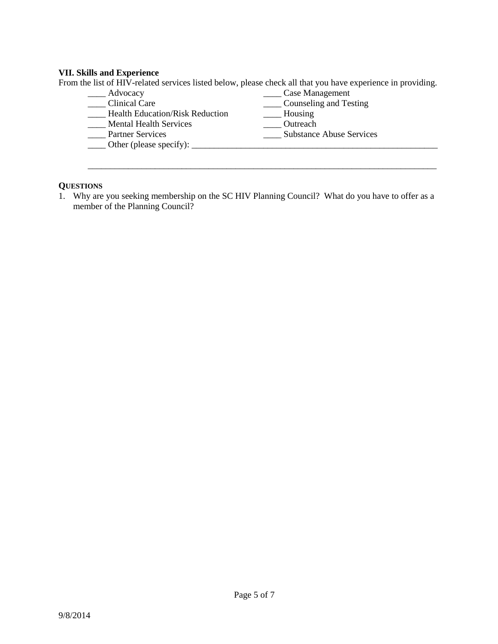# **VII. Skills and Experience**

From the list of HIV-related services listed below, please check all that you have experience in providing.

| Advocacy                               | Case Management                 |
|----------------------------------------|---------------------------------|
| <b>Clinical Care</b>                   | Counseling and Testing          |
| <b>Health Education/Risk Reduction</b> | Housing                         |
| <b>Mental Health Services</b>          | Outreach                        |
| <b>Partner Services</b>                | <b>Substance Abuse Services</b> |
| Other (please specify):                |                                 |
|                                        |                                 |

\_\_\_\_\_\_\_\_\_\_\_\_\_\_\_\_\_\_\_\_\_\_\_\_\_\_\_\_\_\_\_\_\_\_\_\_\_\_\_\_\_\_\_\_\_\_\_\_\_\_\_\_\_\_\_\_\_\_\_\_\_\_\_\_\_\_\_\_\_\_\_\_\_\_\_\_\_\_

# **QUESTIONS**

1. Why are you seeking membership on the SC HIV Planning Council? What do you have to offer as a member of the Planning Council?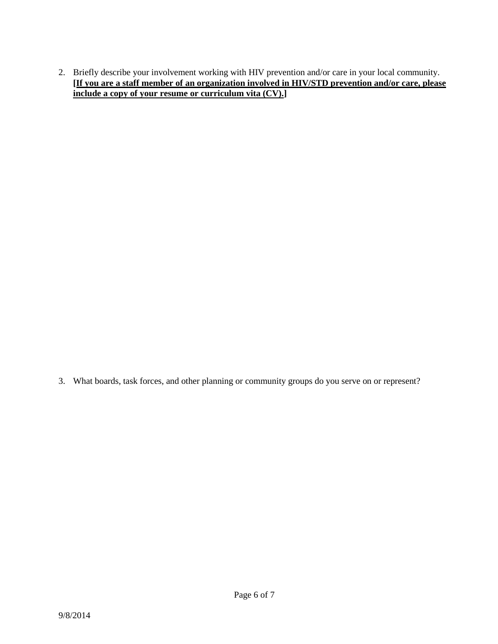2. Briefly describe your involvement working with HIV prevention and/or care in your local community. **[If you are a staff member of an organization involved in HIV/STD prevention and/or care, please include a copy of your resume or curriculum vita (CV).]**

3. What boards, task forces, and other planning or community groups do you serve on or represent?